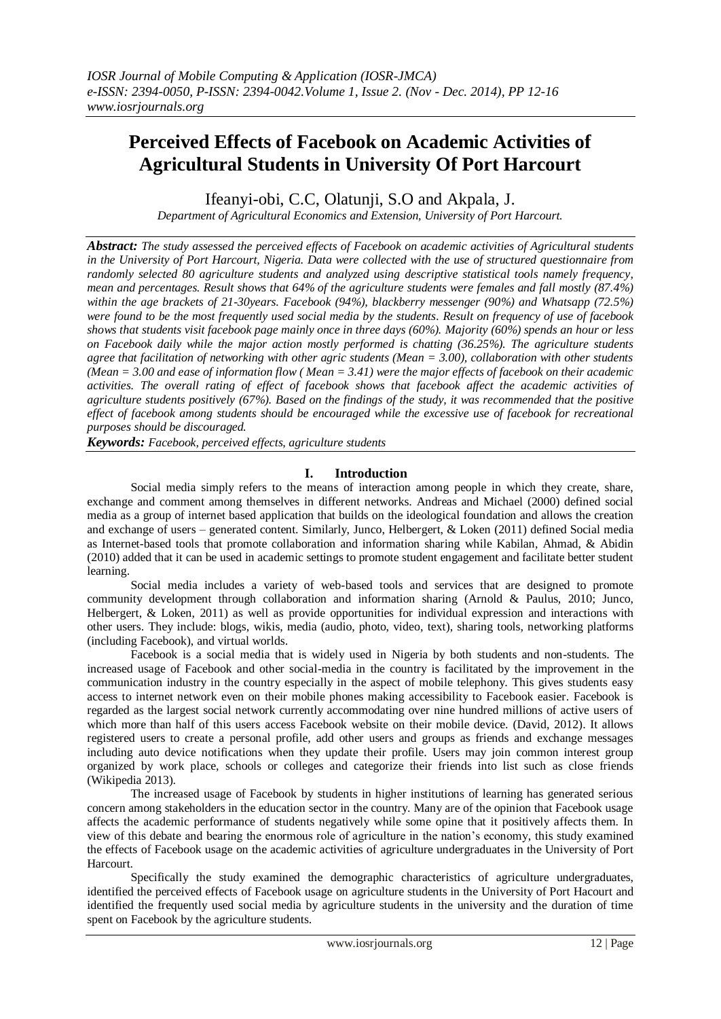# **Perceived Effects of Facebook on Academic Activities of Agricultural Students in University Of Port Harcourt**

Ifeanyi-obi, C.C, Olatunji, S.O and Akpala, J.

*Department of Agricultural Economics and Extension, University of Port Harcourt.*

*Abstract: The study assessed the perceived effects of Facebook on academic activities of Agricultural students in the University of Port Harcourt, Nigeria. Data were collected with the use of structured questionnaire from randomly selected 80 agriculture students and analyzed using descriptive statistical tools namely frequency, mean and percentages. Result shows that 64% of the agriculture students were females and fall mostly (87.4%) within the age brackets of 21-30years. Facebook (94%), blackberry messenger (90%) and Whatsapp (72.5%) were found to be the most frequently used social media by the students. Result on frequency of use of facebook shows that students visit facebook page mainly once in three days (60%). Majority (60%) spends an hour or less on Facebook daily while the major action mostly performed is chatting (36.25%). The agriculture students agree that facilitation of networking with other agric students (Mean = 3.00), collaboration with other students (Mean = 3.00 and ease of information flow ( Mean = 3.41) were the major effects of facebook on their academic activities. The overall rating of effect of facebook shows that facebook affect the academic activities of agriculture students positively (67%). Based on the findings of the study, it was recommended that the positive effect of facebook among students should be encouraged while the excessive use of facebook for recreational purposes should be discouraged.*

*Keywords: Facebook, perceived effects, agriculture students*

# **I. Introduction**

Social media simply refers to the means of interaction among people in which they create, share, exchange and comment among themselves in different networks. Andreas and Michael (2000) defined social media as a group of internet based application that builds on the ideological foundation and allows the creation and exchange of users – generated content. Similarly, Junco, Helbergert, & Loken (2011) defined Social media as Internet-based tools that promote collaboration and information sharing while Kabilan, Ahmad, & Abidin (2010) added that it can be used in academic settings to promote student engagement and facilitate better student learning.

Social media includes a variety of web-based tools and services that are designed to promote community development through collaboration and information sharing (Arnold & Paulus, 2010; Junco, Helbergert, & Loken, 2011) as well as provide opportunities for individual expression and interactions with other users. They include: blogs, wikis, media (audio, photo, video, text), sharing tools, networking platforms (including Facebook), and virtual worlds.

Facebook is a social media that is widely used in Nigeria by both students and non-students. The increased usage of Facebook and other social-media in the country is facilitated by the improvement in the communication industry in the country especially in the aspect of mobile telephony. This gives students easy access to internet network even on their mobile phones making accessibility to Facebook easier. Facebook is regarded as the largest social network currently accommodating over nine hundred millions of active users of which more than half of this users access Facebook website on their mobile device. (David, 2012). It allows registered users to create a personal profile, add other users and groups as friends and exchange messages including auto device notifications when they update their profile. Users may join common interest group organized by work place, schools or colleges and categorize their friends into list such as close friends (Wikipedia 2013).

The increased usage of Facebook by students in higher institutions of learning has generated serious concern among stakeholders in the education sector in the country. Many are of the opinion that Facebook usage affects the academic performance of students negatively while some opine that it positively affects them. In view of this debate and bearing the enormous role of agriculture in the nation's economy, this study examined the effects of Facebook usage on the academic activities of agriculture undergraduates in the University of Port Harcourt.

Specifically the study examined the demographic characteristics of agriculture undergraduates, identified the perceived effects of Facebook usage on agriculture students in the University of Port Hacourt and identified the frequently used social media by agriculture students in the university and the duration of time spent on Facebook by the agriculture students.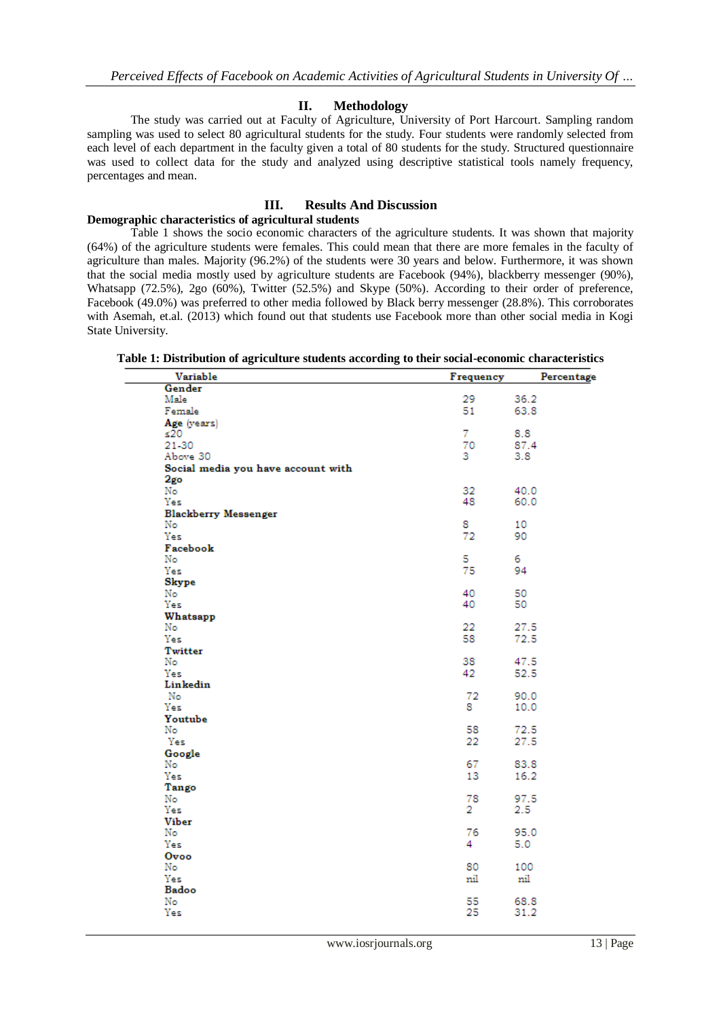### **II. Methodology**

The study was carried out at Faculty of Agriculture, University of Port Harcourt. Sampling random sampling was used to select 80 agricultural students for the study. Four students were randomly selected from each level of each department in the faculty given a total of 80 students for the study. Structured questionnaire was used to collect data for the study and analyzed using descriptive statistical tools namely frequency, percentages and mean.

# **III. Results And Discussion**

## **Demographic characteristics of agricultural students**

Table 1 shows the socio economic characters of the agriculture students. It was shown that majority (64%) of the agriculture students were females. This could mean that there are more females in the faculty of agriculture than males. Majority (96.2%) of the students were 30 years and below. Furthermore, it was shown that the social media mostly used by agriculture students are Facebook (94%), blackberry messenger (90%), Whatsapp (72.5%), 2go (60%), Twitter (52.5%) and Skype (50%). According to their order of preference, Facebook (49.0%) was preferred to other media followed by Black berry messenger (28.8%). This corroborates with Asemah, et.al. (2013) which found out that students use Facebook more than other social media in Kogi State University.

| Variable                           | Frequency | Percentage |
|------------------------------------|-----------|------------|
| Gender                             |           |            |
| Male                               | 29.       | 36.2       |
| Female                             | 51        | 63.8       |
| Age (years)                        |           |            |
| ≤20                                | 7         | 8.8        |
| 21-30                              | 70        | 87.4       |
| Above 30                           | з.        | 3.8        |
| Social media you have account with |           |            |
| 2go                                |           |            |
| No                                 | 32        | 40.0       |
| Yes                                | 48        | 60.0       |
| <b>Blackberry Messenger</b>        |           |            |
| No                                 | 8         | 10         |
| Yes                                | 72        | 90         |
| Facebook                           |           |            |
| No                                 | 5         | 6.         |
| Yes                                | 75        | 94         |
| Skype                              |           |            |
| No                                 | 40        | 50         |
| Yes                                | 40        | 50         |
| Whatsapp                           |           |            |
| No                                 | 22        | 27.5       |
| Yes                                | 58        | 72.5       |
| Twitter                            |           |            |
| No                                 | 38        | 47.5       |
| Yes                                | 42        | 52.5       |
| Linkedin                           |           |            |
| No                                 | 72        | 90.0       |
| Yes                                | 8.        | 10.0       |
| Youtube                            |           |            |
| No                                 | 58        | 72.5       |
| Yes                                | 22        | 27.5       |
| Google                             |           |            |
| No                                 | 67        | 83.8       |
| Yes                                | 13        | 16.2       |
| Tango                              |           |            |
| No                                 | 78        | 97.5       |
| Yes                                | 2         | 2.5        |
| <b>Viber</b>                       |           |            |
| No                                 | 76        | 95.0       |
| Yes                                | 4         | 5.0        |
| Ovoo                               |           |            |
| No                                 | 80        | 100        |
| Yes                                | nil       | nil        |
| Badoo                              |           |            |
| No                                 | 55        | 68.8       |
| Yes                                | 25        | 31.2       |

**Table 1: Distribution of agriculture students according to their social-economic characteristics**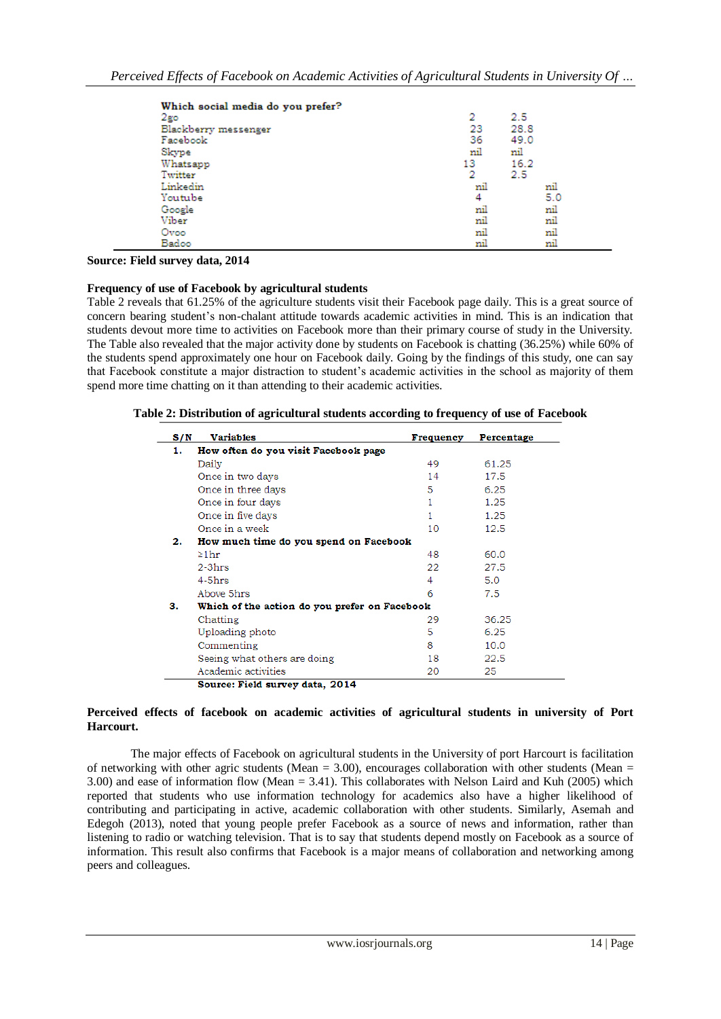| Which social media do you prefer? |     |      |
|-----------------------------------|-----|------|
| $2$ go                            | 2   | 2.5  |
| Blackberry messenger              | 23  | 28.8 |
| Facebook                          | 36  | 49.0 |
| Skype                             | nil | nil  |
| Whatsapp                          | 13  | 16.2 |
| Twitter                           | 2   | 2.5  |
| Linkedin                          | mil | nil  |
| Youtube                           | 4   | 5.0  |
| Google                            | nil | nil  |
| Viber                             | nil | nil  |
| Ovoo                              | nil | nil  |
| Badoo                             | nil | nil  |

**Source: Field survey data, 2014**

#### **Frequency of use of Facebook by agricultural students**

Table 2 reveals that 61.25% of the agriculture students visit their Facebook page daily. This is a great source of concern bearing student's non-chalant attitude towards academic activities in mind. This is an indication that students devout more time to activities on Facebook more than their primary course of study in the University. The Table also revealed that the major activity done by students on Facebook is chatting (36.25%) while 60% of the students spend approximately one hour on Facebook daily. Going by the findings of this study, one can say that Facebook constitute a major distraction to student's academic activities in the school as majority of them spend more time chatting on it than attending to their academic activities.

**Table 2: Distribution of agricultural students according to frequency of use of Facebook**

| S/N | <b>Variables</b>                              | Frequency | Percentage |  |  |
|-----|-----------------------------------------------|-----------|------------|--|--|
| 1.  | How often do you visit Facebook page          |           |            |  |  |
|     | Daily                                         | 49        | 61.25      |  |  |
|     | Once in two days                              | 14        | 17.5       |  |  |
|     | Once in three days                            | 5         | 6.25       |  |  |
|     | Once in four days                             | 1         | 1.25       |  |  |
|     | Once in five days                             | 1         | 1.25       |  |  |
|     | Once in a week                                | 10        | 12.5       |  |  |
| 2.  | How much time do you spend on Facebook        |           |            |  |  |
|     | $\geq 1$ hr                                   | 48        | 60.0       |  |  |
|     | $2-3hrs$                                      | 22.       | 27.5       |  |  |
|     | $4-5hrs$                                      | 4         | 5.0        |  |  |
|     | Above 5hrs                                    | 6         | 7.5        |  |  |
| з.  | Which of the action do you prefer on Facebook |           |            |  |  |
|     | Chatting                                      | 29        | 36.25      |  |  |
|     | Uploading photo                               | 5         | 6.25       |  |  |
|     | Commenting                                    | 8         | 10.0       |  |  |
|     | Seeing what others are doing                  | 18        | 22.5       |  |  |
|     | Academic activities                           | 20        | 25         |  |  |
|     | Source: Field survey data, 2014               |           |            |  |  |

#### **Perceived effects of facebook on academic activities of agricultural students in university of Port Harcourt.**

The major effects of Facebook on agricultural students in the University of port Harcourt is facilitation of networking with other agric students (Mean =  $3.00$ ), encourages collaboration with other students (Mean = 3.00) and ease of information flow (Mean = 3.41). This collaborates with Nelson Laird and Kuh (2005) which reported that students who use information technology for academics also have a higher likelihood of contributing and participating in active, academic collaboration with other students. Similarly, Asemah and Edegoh (2013), noted that young people prefer Facebook as a source of news and information, rather than listening to radio or watching television. That is to say that students depend mostly on Facebook as a source of information. This result also confirms that Facebook is a major means of collaboration and networking among peers and colleagues.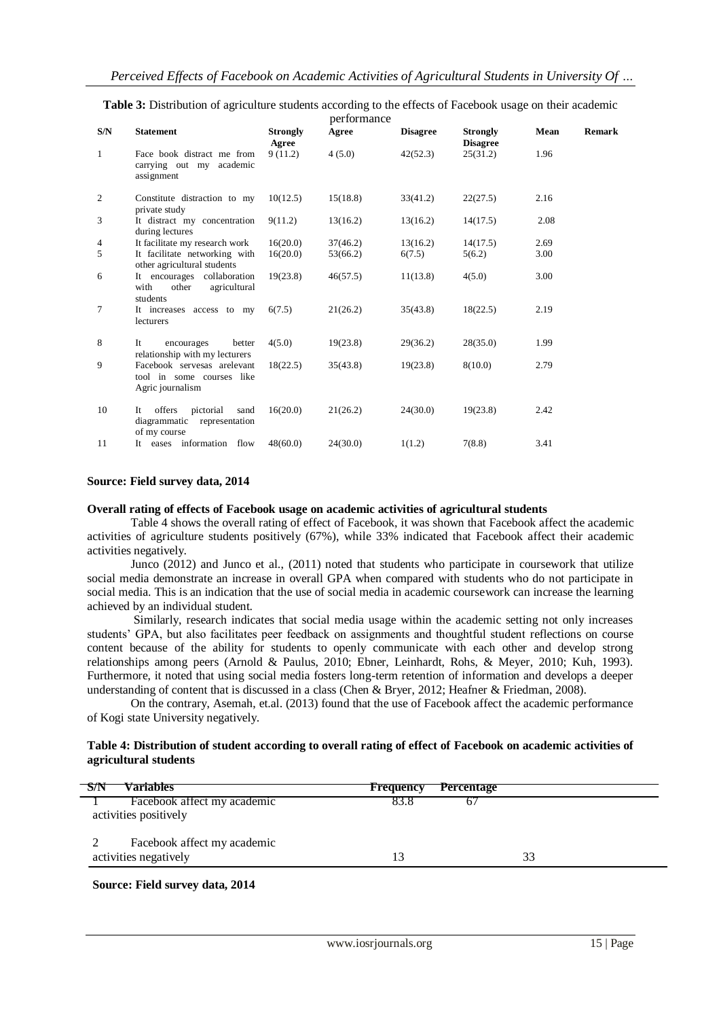|              |                                                                                  |                          | performance |                 |                                    |      |        |
|--------------|----------------------------------------------------------------------------------|--------------------------|-------------|-----------------|------------------------------------|------|--------|
| S/N          | <b>Statement</b>                                                                 | <b>Strongly</b><br>Agree | Agree       | <b>Disagree</b> | <b>Strongly</b><br><b>Disagree</b> | Mean | Remark |
| $\mathbf{1}$ | Face book distract me from<br>carrying out my academic<br>assignment             | 9(11.2)                  | 4(5.0)      | 42(52.3)        | 25(31.2)                           | 1.96 |        |
| 2            | Constitute distraction to my<br>private study                                    | 10(12.5)                 | 15(18.8)    | 33(41.2)        | 22(27.5)                           | 2.16 |        |
| 3            | It distract my concentration<br>during lectures                                  | 9(11.2)                  | 13(16.2)    | 13(16.2)        | 14(17.5)                           | 2.08 |        |
| 4            | It facilitate my research work                                                   | 16(20.0)                 | 37(46.2)    | 13(16.2)        | 14(17.5)                           | 2.69 |        |
| 5            | It facilitate networking with<br>other agricultural students                     | 16(20.0)                 | 53(66.2)    | 6(7.5)          | 5(6.2)                             | 3.00 |        |
| 6            | It encourages collaboration<br>agricultural<br>with<br>other<br>students         | 19(23.8)                 | 46(57.5)    | 11(13.8)        | 4(5.0)                             | 3.00 |        |
| 7            | It increases access to my<br>lecturers                                           | 6(7.5)                   | 21(26.2)    | 35(43.8)        | 18(22.5)                           | 2.19 |        |
| 8            | It<br>better<br>encourages<br>relationship with my lecturers                     | 4(5.0)                   | 19(23.8)    | 29(36.2)        | 28(35.0)                           | 1.99 |        |
| 9            | Facebook servesas arelevant<br>tool in some courses like<br>Agric journalism     | 18(22.5)                 | 35(43.8)    | 19(23.8)        | 8(10.0)                            | 2.79 |        |
| 10           | offers<br>pictorial<br>sand<br>It<br>diagrammatic representation<br>of my course | 16(20.0)                 | 21(26.2)    | 24(30.0)        | 19(23.8)                           | 2.42 |        |
| 11           | It eases information flow                                                        | 48(60.0)                 | 24(30.0)    | 1(1.2)          | 7(8.8)                             | 3.41 |        |
|              |                                                                                  |                          |             |                 |                                    |      |        |

**Table 3:** Distribution of agriculture students according to the effects of Facebook usage on their academic

#### **Source: Field survey data, 2014**

#### **Overall rating of effects of Facebook usage on academic activities of agricultural students**

Table 4 shows the overall rating of effect of Facebook, it was shown that Facebook affect the academic activities of agriculture students positively (67%), while 33% indicated that Facebook affect their academic activities negatively.

Junco (2012) and Junco et al., (2011) noted that students who participate in coursework that utilize social media demonstrate an increase in overall GPA when compared with students who do not participate in social media. This is an indication that the use of social media in academic coursework can increase the learning achieved by an individual student.

Similarly, research indicates that social media usage within the academic setting not only increases students' GPA, but also facilitates peer feedback on assignments and thoughtful student reflections on course content because of the ability for students to openly communicate with each other and develop strong relationships among peers (Arnold & Paulus, 2010; Ebner, Leinhardt, Rohs, & Meyer, 2010; Kuh, 1993). Furthermore, it noted that using social media fosters long-term retention of information and develops a deeper understanding of content that is discussed in a class (Chen & Bryer, 2012; Heafner & Friedman, 2008).

On the contrary, Asemah, et.al. (2013) found that the use of Facebook affect the academic performance of Kogi state University negatively.

#### **Table 4: Distribution of student according to overall rating of effect of Facebook on academic activities of agricultural students**

| <b>Variables</b>                                     | <b>Frequency</b> | <b>Percentage</b> |    |  |
|------------------------------------------------------|------------------|-------------------|----|--|
| Facebook affect my academic<br>activities positively | 83.8             |                   |    |  |
| Facebook affect my academic                          |                  |                   |    |  |
| activities negatively                                | 13               |                   | 33 |  |

**Source: Field survey data, 2014**